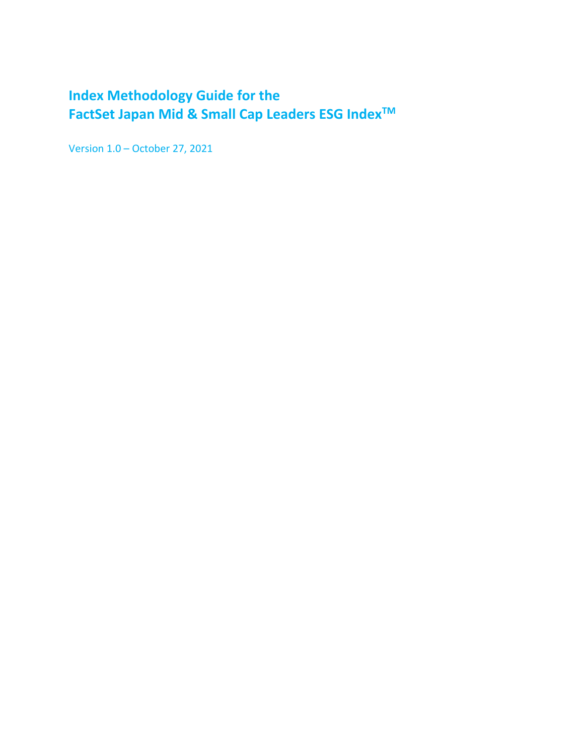# <span id="page-0-0"></span>**Index Methodology Guide for the FactSet Japan Mid & Small Cap Leaders ESG IndexTM**

Version 1.0 – October 27, 2021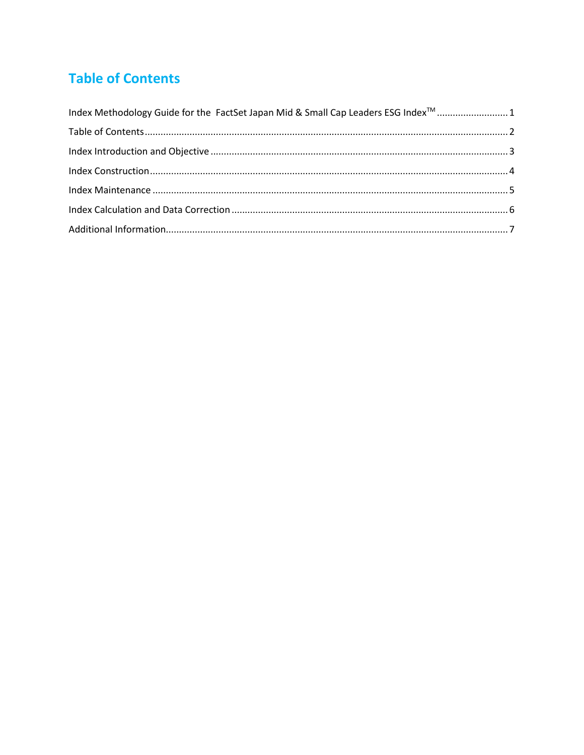# <span id="page-1-0"></span>**Table of Contents**

| Index Methodology Guide for the FactSet Japan Mid & Small Cap Leaders ESG Index <sup>™</sup> 1 |  |
|------------------------------------------------------------------------------------------------|--|
|                                                                                                |  |
|                                                                                                |  |
|                                                                                                |  |
|                                                                                                |  |
|                                                                                                |  |
|                                                                                                |  |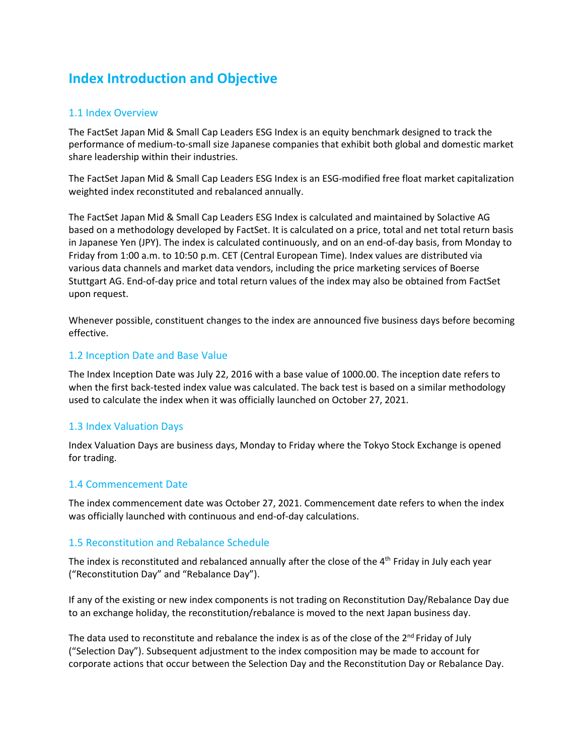## <span id="page-2-0"></span>**Index Introduction and Objective**

#### 1.1 Index Overview

The FactSet Japan Mid & Small Cap Leaders ESG Index is an equity benchmark designed to track the performance of medium-to-small size Japanese companies that exhibit both global and domestic market share leadership within their industries.

The FactSet Japan Mid & Small Cap Leaders ESG Index is an ESG-modified free float market capitalization weighted index reconstituted and rebalanced annually.

The FactSet Japan Mid & Small Cap Leaders ESG Index is calculated and maintained by Solactive AG based on a methodology developed by FactSet. It is calculated on a price, total and net total return basis in Japanese Yen (JPY). The index is calculated continuously, and on an end-of-day basis, from Monday to Friday from 1:00 a.m. to 10:50 p.m. CET (Central European Time). Index values are distributed via various data channels and market data vendors, including the price marketing services of Boerse Stuttgart AG. End-of-day price and total return values of the index may also be obtained from FactSet upon request.

Whenever possible, constituent changes to the index are announced five business days before becoming effective.

#### 1.2 Inception Date and Base Value

The Index Inception Date was July 22, 2016 with a base value of 1000.00. The inception date refers to when the first back-tested index value was calculated. The back test is based on a similar methodology used to calculate the index when it was officially launched on October 27, 2021.

#### 1.3 Index Valuation Days

Index Valuation Days are business days, Monday to Friday where the Tokyo Stock Exchange is opened for trading.

#### 1.4 Commencement Date

The index commencement date was October 27, 2021. Commencement date refers to when the index was officially launched with continuous and end-of-day calculations.

#### 1.5 Reconstitution and Rebalance Schedule

The index is reconstituted and rebalanced annually after the close of the 4<sup>th</sup> Friday in July each year ("Reconstitution Day" and "Rebalance Day").

If any of the existing or new index components is not trading on Reconstitution Day/Rebalance Day due to an exchange holiday, the reconstitution/rebalance is moved to the next Japan business day.

The data used to reconstitute and rebalance the index is as of the close of the 2<sup>nd</sup> Friday of July ("Selection Day"). Subsequent adjustment to the index composition may be made to account for corporate actions that occur between the Selection Day and the Reconstitution Day or Rebalance Day.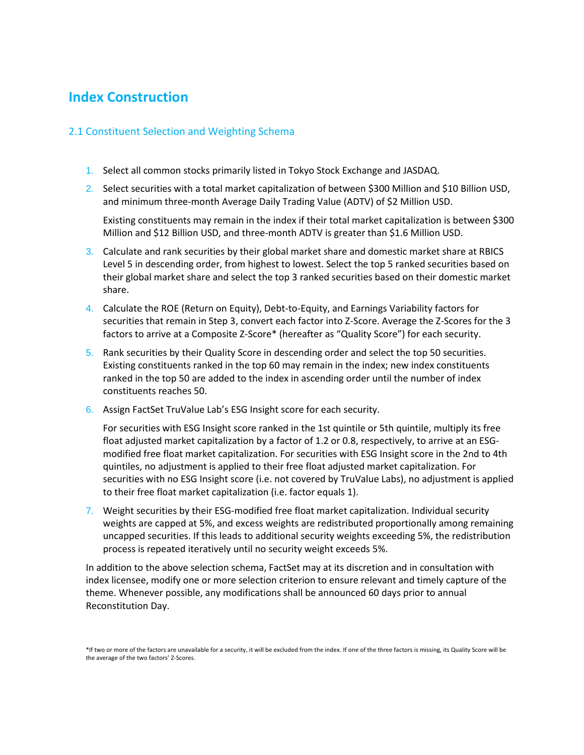### <span id="page-3-0"></span>**Index Construction**

#### 2.1 Constituent Selection and Weighting Schema

- 1. Select all common stocks primarily listed in Tokyo Stock Exchange and JASDAQ.
- 2. Select securities with a total market capitalization of between \$300 Million and \$10 Billion USD, and minimum three-month Average Daily Trading Value (ADTV) of \$2 Million USD.

Existing constituents may remain in the index if their total market capitalization is between \$300 Million and \$12 Billion USD, and three-month ADTV is greater than \$1.6 Million USD.

- 3. Calculate and rank securities by their global market share and domestic market share at RBICS Level 5 in descending order, from highest to lowest. Select the top 5 ranked securities based on their global market share and select the top 3 ranked securities based on their domestic market share.
- 4. Calculate the ROE (Return on Equity), Debt-to-Equity, and Earnings Variability factors for securities that remain in Step 3, convert each factor into Z-Score. Average the Z-Scores for the 3 factors to arrive at a Composite Z-Score\* (hereafter as "Quality Score") for each security.
- 5. Rank securities by their Quality Score in descending order and select the top 50 securities. Existing constituents ranked in the top 60 may remain in the index; new index constituents ranked in the top 50 are added to the index in ascending order until the number of index constituents reaches 50.
- 6. Assign FactSet TruValue Lab's ESG Insight score for each security.

For securities with ESG Insight score ranked in the 1st quintile or 5th quintile, multiply its free float adjusted market capitalization by a factor of 1.2 or 0.8, respectively, to arrive at an ESGmodified free float market capitalization. For securities with ESG Insight score in the 2nd to 4th quintiles, no adjustment is applied to their free float adjusted market capitalization. For securities with no ESG Insight score (i.e. not covered by TruValue Labs), no adjustment is applied to their free float market capitalization (i.e. factor equals 1).

7. Weight securities by their ESG-modified free float market capitalization. Individual security weights are capped at 5%, and excess weights are redistributed proportionally among remaining uncapped securities. If this leads to additional security weights exceeding 5%, the redistribution process is repeated iteratively until no security weight exceeds 5%.

In addition to the above selection schema, FactSet may at its discretion and in consultation with index licensee, modify one or more selection criterion to ensure relevant and timely capture of the theme. Whenever possible, any modifications shall be announced 60 days prior to annual Reconstitution Day.

<sup>\*</sup>If two or more of the factors are unavailable for a security, it will be excluded from the index. If one of the three factors is missing, its Quality Score will be the average of the two factors' Z-Scores.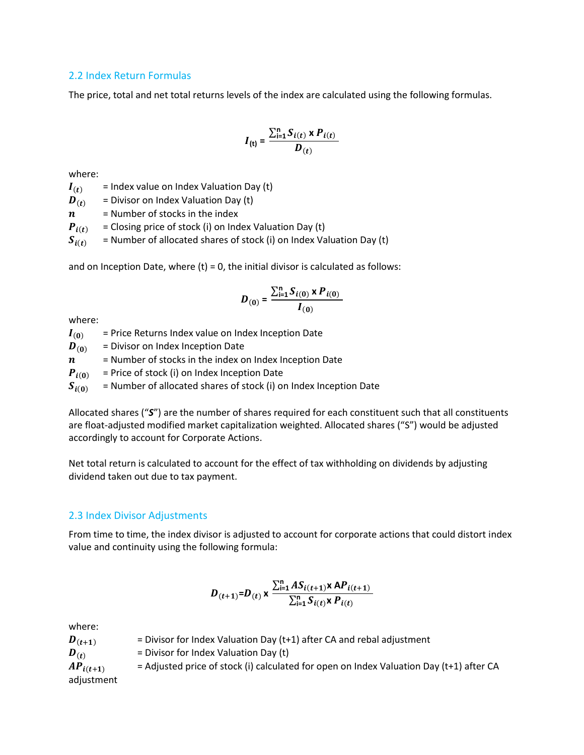#### 2.2 Index Return Formulas

The price, total and net total returns levels of the index are calculated using the following formulas.

$$
I_{(t)} = \frac{\sum_{i=1}^{n} S_{i(t)} \times P_{i(t)}}{D_{(t)}}
$$

where:

 $I(t)$  = Index value on Index Valuation Day (t)

 $\boldsymbol{D}_{(t)}$  = Divisor on Index Valuation Day (t)

 $n =$  Number of stocks in the index

 $P_{i(t)}$  = Closing price of stock (i) on Index Valuation Day (t)

 $S_{i(t)}$  = Number of allocated shares of stock (i) on Index Valuation Day (t)

and on Inception Date, where  $(t) = 0$ , the initial divisor is calculated as follows:

$$
D_{(0)} = \frac{\sum_{i=1}^{n} S_{i(0)} \times P_{i(0)}}{I_{(0)}}
$$

where:

 $I_{(0)}$  = Price Returns Index value on Index Inception Date

 $\boldsymbol{D}_{(0)}$  = Divisor on Index Inception Date

 $n =$  Number of stocks in the index on Index Inception Date

 $P_{i(0)}$  = Price of stock (i) on Index Inception Date

 $S_{i(0)}$  = Number of allocated shares of stock (i) on Index Inception Date

Allocated shares ("*S*") are the number of shares required for each constituent such that all constituents are float-adjusted modified market capitalization weighted. Allocated shares ("S") would be adjusted accordingly to account for Corporate Actions.

Net total return is calculated to account for the effect of tax withholding on dividends by adjusting dividend taken out due to tax payment.

#### 2.3 Index Divisor Adjustments

From time to time, the index divisor is adjusted to account for corporate actions that could distort index value and continuity using the following formula:

$$
D_{(t+1)}=D_{(t)} \times \frac{\sum_{i=1}^{n} AS_{i(t+1)} \times AP_{i(t+1)}}{\sum_{i=1}^{n} S_{i(t)} \times P_{i(t)}}
$$

where:

 $D_{(t+1)}$  = Divisor for Index Valuation Day (t+1) after CA and rebal adjustment  $\boldsymbol{D}_{(t)}$  = Divisor for Index Valuation Day (t)  $AP_{i(t+1)}$  = Adjusted price of stock (i) calculated for open on Index Valuation Day (t+1) after CA adjustment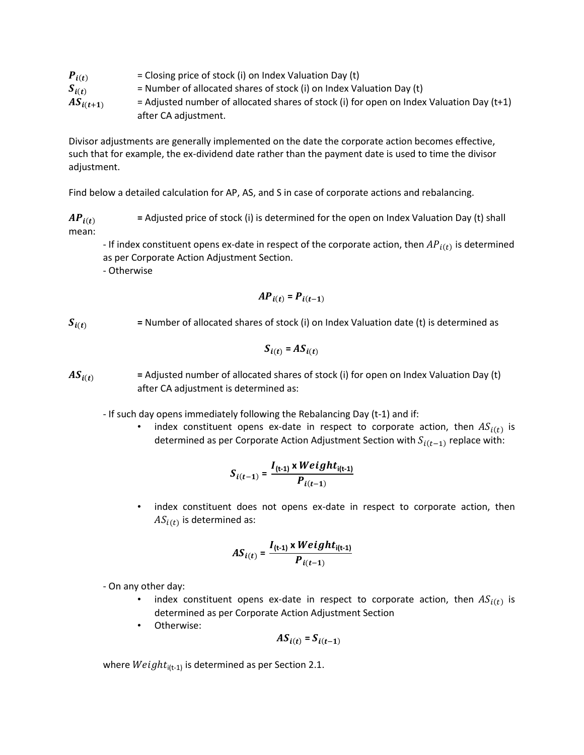| $P_{i(t)}$    | $=$ Closing price of stock (i) on Index Valuation Day (t)                                  |
|---------------|--------------------------------------------------------------------------------------------|
| $S_{i(t)}$    | $=$ Number of allocated shares of stock (i) on Index Valuation Day (t)                     |
| $AS_{i(t+1)}$ | = Adjusted number of allocated shares of stock (i) for open on Index Valuation Day $(t+1)$ |
|               | after CA adjustment.                                                                       |

Divisor adjustments are generally implemented on the date the corporate action becomes effective, such that for example, the ex-dividend date rather than the payment date is used to time the divisor adjustment.

Find below a detailed calculation for AP, AS, and S in case of corporate actions and rebalancing.

 $AP_{i(t)}$  = Adjusted price of stock (i) is determined for the open on Index Valuation Day (t) shall mean:

- If index constituent opens ex-date in respect of the corporate action, then  $AP_{i(t)}$  is determined as per Corporate Action Adjustment Section.

- Otherwise

$$
AP_{i(t)} = P_{i(t-1)}
$$

 $S_{i(t)}$  = Number of allocated shares of stock (i) on Index Valuation date (t) is determined as

$$
S_{i(t)} = AS_{i(t)}
$$

 $AS_{i(t)}$  = Adjusted number of allocated shares of stock (i) for open on Index Valuation Day (t) after CA adjustment is determined as:

- If such day opens immediately following the Rebalancing Day (t-1) and if:

• index constituent opens ex-date in respect to corporate action, then  $AS_{i(t)}$  is determined as per Corporate Action Adjustment Section with  $S_{i(t-1)}$  replace with:

$$
S_{i(t-1)} = \frac{I_{(t-1)} \times Weight_{i(t-1)}}{P_{i(t-1)}}
$$

index constituent does not opens ex-date in respect to corporate action, then  $AS_{i(t)}$  is determined as:

$$
AS_{i(t)} = \frac{I_{(t-1)} \times Weight_{i(t-1)}}{P_{i(t-1)}}
$$

- On any other day:

- index constituent opens ex-date in respect to corporate action, then  $AS_{i(t)}$  is determined as per Corporate Action Adjustment Section
- Otherwise:

$$
AS_{i(t)} = S_{i(t-1)}
$$

where  $Weight_{i(t-1)}$  is determined as per Section 2.1.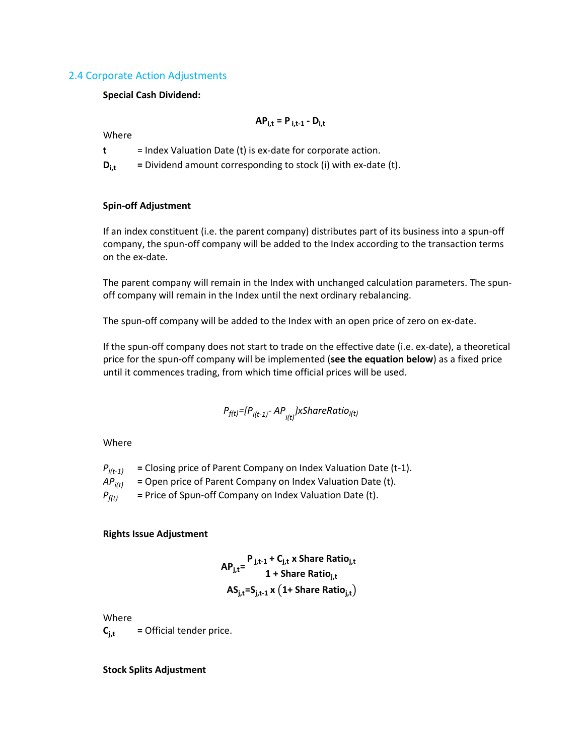#### 2.4 Corporate Action Adjustments

#### **Special Cash Dividend:**

Where

**t** = Index Valuation Date (t) is ex-date for corporate action.

 $D_{i,t}$  = Dividend amount corresponding to stock (i) with ex-date (t).

#### **Spin-off Adjustment**

If an index constituent (i.e. the parent company) distributes part of its business into a spun-off company, the spun-off company will be added to the Index according to the transaction terms on the ex-date.

 $AP_{i,t} = P_{i,t-1} - D_{i,t}$ 

The parent company will remain in the Index with unchanged calculation parameters. The spunoff company will remain in the Index until the next ordinary rebalancing.

The spun-off company will be added to the Index with an open price of zero on ex-date.

If the spun-off company does not start to trade on the effective date (i.e. ex-date), a theoretical price for the spun-off company will be implemented (**see the equation below**) as a fixed price until it commences trading, from which time official prices will be used.

$$
P_{f(t)} = [P_{i(t-1)} - AP_{i(t)}] \times SharerRatio_{i(t)}
$$

Where

 $P_{i(t-1)}$  = Closing price of Parent Company on Index Valuation Date (t-1). *APi(t)* **=** Open price of Parent Company on Index Valuation Date (t).  $P_{f(t)}$  = Price of Spun-off Company on Index Valuation Date (t).

#### **Rights Issue Adjustment**

$$
AP_{j,t} = \frac{P_{j,t-1} + C_{j,t} \times \text{Share Ratio}_{j,t}}{1 + \text{Share Ratio}_{j,t}}
$$

$$
AS_{j,t} = S_{j,t-1} \times \left(1 + \text{Share Ratio}_{j,t}\right)
$$

Where

 $C_{i,t}$  = Official tender price.

#### **Stock Splits Adjustment**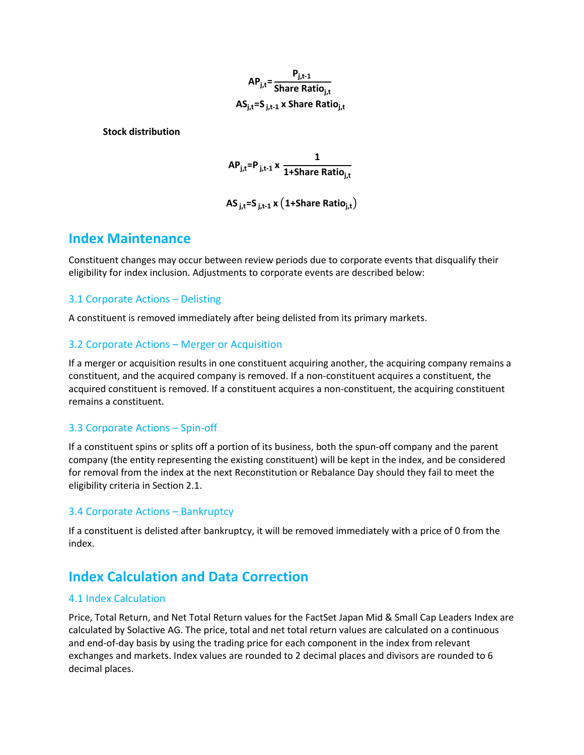**APj,t= Pj,t-1 Share Ratioj,t ASj,t=S j,t-1 x Share Ratioj,t**

**Stock distribution**

**APj,t=P j,t-1 x 1 1+Share Ratioj,t**

**AS j,t=S j,t-1 x** (**1+Share Ratioj,t**)

### <span id="page-7-0"></span>**Index Maintenance**

Constituent changes may occur between review periods due to corporate events that disqualify their eligibility for index inclusion. Adjustments to corporate events are described below:

#### 3.1 Corporate Actions – Delisting

A constituent is removed immediately after being delisted from its primary markets.

#### 3.2 Corporate Actions – Merger or Acquisition

If a merger or acquisition results in one constituent acquiring another, the acquiring company remains a constituent, and the acquired company is removed. If a non-constituent acquires a constituent, the acquired constituent is removed. If a constituent acquires a non-constituent, the acquiring constituent remains a constituent.

#### 3.3 Corporate Actions – Spin-off

If a constituent spins or splits off a portion of its business, both the spun-off company and the parent company (the entity representing the existing constituent) will be kept in the index, and be considered for removal from the index at the next Reconstitution or Rebalance Day should they fail to meet the eligibility criteria in Section 2.1.

#### 3.4 Corporate Actions – Bankruptcy

If a constituent is delisted after bankruptcy, it will be removed immediately with a price of 0 from the index.

### <span id="page-7-1"></span>**Index Calculation and Data Correction**

#### 4.1 Index Calculation

Price, Total Return, and Net Total Return values for the FactSet Japan Mid & Small Cap Leaders Index are calculated by Solactive AG. The price, total and net total return values are calculated on a continuous and end-of-day basis by using the trading price for each component in the index from relevant exchanges and markets. Index values are rounded to 2 decimal places and divisors are rounded to 6 decimal places.